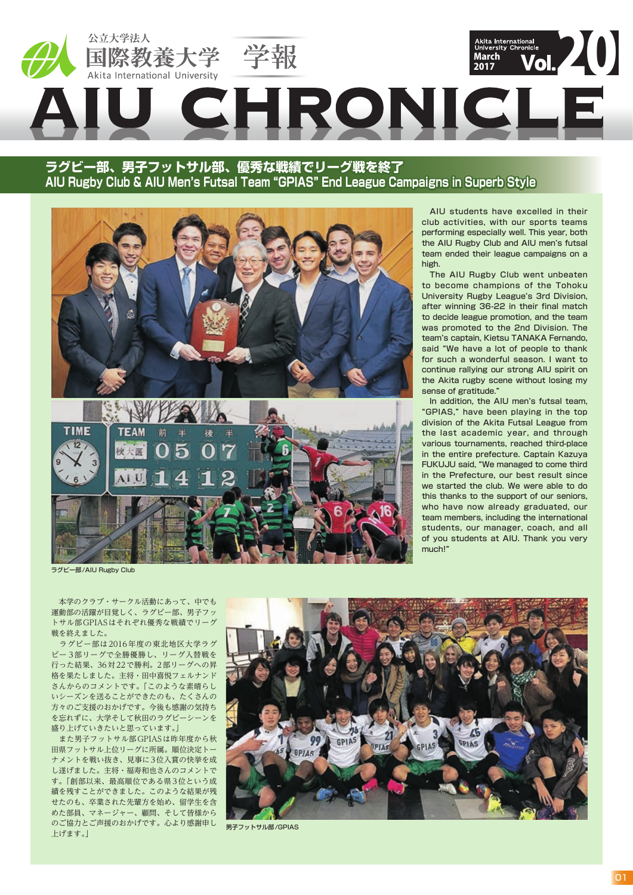

**ラグビー部、男子フットサル部、優秀な戦績でリーグ戦を終了 AIU Rugby Club & AIU Men's Futsal Team "GPIAS" End League Campaigns in Superb Style**





 AIU students have excelled in their club activities, with our sports teams performing especially well. This year, both the AIU Rugby Club and AIU men's futsal team ended their league campaigns on a high.

 The AIU Rugby Club went unbeaten to become champions of the Tohoku University Rugby League's 3rd Division, after winning 36-22 in their final match to decide league promotion, and the team was promoted to the 2nd Division. The team's captain, Kietsu TANAKA Fernando, said "We have a lot of people to thank for such a wonderful season. I want to continue rallying our strong AIU spirit on the Akita rugby scene without losing my sense of gratitude."

 In addition, the AIU men's futsal team, "GPIAS," have been playing in the top division of the Akita Futsal League from the last academic year, and through various tournaments, reached third-place in the entire prefecture. Captain Kazuya FUKUJU said, "We managed to come third in the Prefecture, our best result since we started the club. We were able to do this thanks to the support of our seniors, who have now already graduated, our team members, including the international students, our manager, coach, and all of you students at AIU. Thank you very much!"

ラグビー部/AIU Rugby Club

 本学のクラブ・サークル活動にあって、中でも 運動部の活躍が目覚しく、ラグビー部、男子フッ トサル部GPIASはそれぞれ優秀な戦績でリーグ 戦を終えました。

 ラグビー部は2016年度の東北地区大学ラグ ビー 3部リーグで全勝優勝し、リーグ入替戦を 行った結果、36対22で勝利。2部リーグへの昇 格を果たしました。主将・田中喜悦フェルナンド さんからのコメントです。「このような素晴らし いシーズンを送ることができたのも、たくさんの 方々のご支援のおかげです。今後も感謝の気持ち を忘れずに、大学そして秋田のラグビーシーンを 盛り上げていきたいと思っています。」

 また男子フットサル部GPIASは昨年度から秋 田県フットサル上位リーグに所属。順位決定トー ナメントを戦い抜き、見事に3位入賞の快挙を成 し遂げました。主将・福寿和也さんのコメントで す。「創部以来、最高順位である県3位という成 績を残すことができました。このような結果が残 せたのも、卒業された先輩方を始め、留学生を含 めた部員、マネージャー、顧問、そして皆様から のご協力とご声援のおかげです。心より感謝申し 上げます。」



男子フットサル部/GPIAS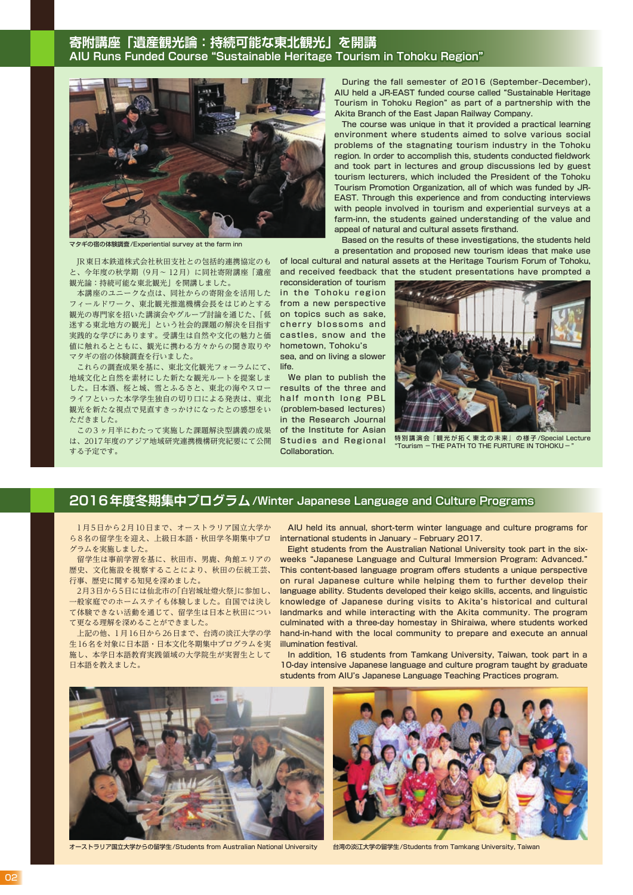### **寄附講座「遺産観光論:持続可能な東北観光」を開講 AIU Runs Funded Course "Sustainable Heritage Tourism in Tohoku Region"**



マタギの宿の体験調査/Experiential survey at the farm inn

と、今年度の秋学期(9月~ 12月)に同社寄附講座「遺産 観光論:持続可能な東北観光」を開講しました。

 本講座のユニークな点は、同社からの寄附金を活用した フィールドワーク、東北観光推進機構会長をはじめとする 観光の専門家を招いた講演会やグループ討論を通じた、「低 迷する東北地方の観光」という社会的課題の解決を目指す 実践的な学びにあります。受講生は自然や文化の魅力と価 値に触れるとともに、観光に携わる方々からの聞き取りや マタギの宿の体験調査を行いました。

 これらの調査成果を基に、東北文化観光フォーラムにて、 地域文化と自然を素材にした新たな観光ルートを提案しま した。日本酒、桜と城、雪とふるさと、東北の海やスロー ライフといった本学学生独自の切り口による発表は、東北 観光を新たな視点で見直すきっかけになったとの感想をい ただきました。

 この3 ヶ月半にわたって実施した課題解決型講義の成果 は、2017年度のアジア地域研究連携機構研究紀要にて公開 する予定です。

During the fall semester of 2016 (September-December), AIU held a JR-EAST funded course called "Sustainable Heritage Tourism in Tohoku Region" as part of a partnership with the Akita Branch of the East Japan Railway Company.

 The course was unique in that it provided a practical learning environment where students aimed to solve various social problems of the stagnating tourism industry in the Tohoku region. In order to accomplish this, students conducted fieldwork and took part in lectures and group discussions led by guest tourism lecturers, which included the President of the Tohoku Tourism Promotion Organization, all of which was funded by JR-EAST. Through this experience and from conducting interviews with people involved in tourism and experiential surveys at a farm-inn, the students gained understanding of the value and appeal of natural and cultural assets firsthand.

<u>)JR東日本鉄道株式会社秋田支社との包括的連携協定のも of local cultural and natural assets at the Heritage Tourism Forum of Tohoku,</u> Based on the results of these investigations, the students held a presentation and proposed new tourism ideas that make use

> reconsideration of tourism in the Tohoku region from a new perspective on topics such as sake, cherry blossoms and castles, snow and the hometown, Tohoku's sea, and on living a slower life.

> We plan to publish the results of the three and half month long PBL (problem-based lectures) in the Research Journal of the Institute for Asian Studies and Regional



特別講演会『観光が拓く東北の未来』の様子/Special Lecture<br>"Tourism - THE PATH TO THE FURTURE IN TOHOKU – "

### **2016年度冬期集中プログラム/Winter Japanese Language and Culture Programs**

**Collaboration** 

 1月5日から2月10日まで、オーストラリア国立大学か ら8名の留学生を迎え、上級日本語・秋田学冬期集中プロ グラムを実施しました。

 留学生は事前学習を基に、秋田市、男鹿、角館エリアの 歴史、文化施設を視察することにより、秋田の伝統工芸、 行事、歴史に関する知見を深めました。

2月3日から5日には仙北市の「白岩城址燈火祭」に参加し、 一般家庭でのホームステイも体験しました。自国では決し て体験できない活動を通じて、留学生は日本と秋田につい て更なる理解を深めることができました。

 上記の他、1月16日から26日まで、台湾の淡江大学の学 生16名を対象に日本語・日本文化冬期集中プログラムを実 施し、本学日本語教育実践領域の大学院生が実習生として 日本語を教えました。

 AIU held its annual, short-term winter language and culture programs for international students in January - February 2017.

 Eight students from the Australian National University took part in the sixweeks "Japanese Language and Cultural Immersion Program: Advanced." This content-based language program offers students a unique perspective on rural Japanese culture while helping them to further develop their language ability. Students developed their keigo skills, accents, and linguistic knowledge of Japanese during visits to Akita's historical and cultural landmarks and while interacting with the Akita community. The program culminated with a three-day homestay in Shiraiwa, where students worked hand-in-hand with the local community to prepare and execute an annual illumination festival.

 In addition, 16 students from Tamkang University, Taiwan, took part in a 10-day intensive Japanese language and culture program taught by graduate students from AIU's Japanese Language Teaching Practices program.

![](_page_1_Picture_22.jpeg)

![](_page_1_Picture_24.jpeg)

オーストラリア国立大学からの留学生/Students from Australian National University 台湾の淡江大学の留学生/Students from Tamkang University, Taiwan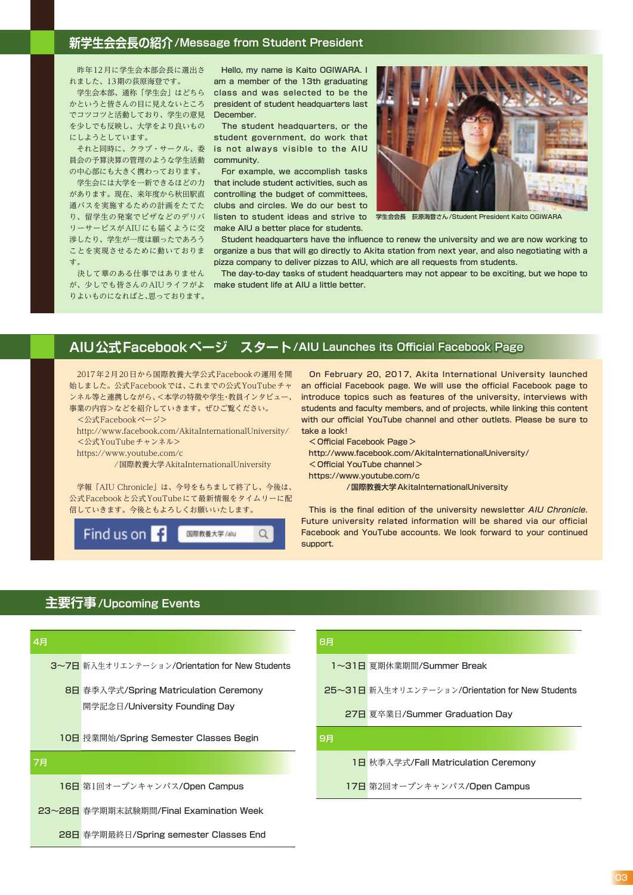#### **新学生会会長の紹介/Message from Student President**

 昨年12月に学生会本部会長に選出さ れました、13期の荻原海登です。

でコツコツと活動しており、学生の意見 December. を少しでも反映し、大学をより良いもの にしようとしています。

員会の予算決算の管理のような学生活動 community. の中心部にも大きく携わっております。

リーサービスがAIUにも届くように交 make AIU a better place for students. 渉したり、学生が一度は願ったであろう ことを実現させるために動いておりま す。

 決して華のある仕事ではありません りよいものになればと、思っております。

- 学生会本部、通称「学生会」はどちら - class and was selected to be the かというと皆さんの目に見えないところ president of student headquarters last Hello, my name is Kaito OGIWARA. I am a member of the 13th graduating

 それと同時に、クラブ・サークル、委 is not always visible to the AIU The student headquarters, or the student government, do work that

 学生会には大学を一新できるほどの力 that include student activities, such as があります。現在、来年度から秋田駅直 controlling the budget of committees, 通バスを実施するための計画をたてた  $\,$  clubs and circles. We do our best to  $\,$ For example, we accomplish tasks

![](_page_2_Picture_9.jpeg)

り、留学生の発案でピザなどのデリバ ―listen to student ideas and strive to ―学生会会長―荻原海登さん/Student President Kaito OGIWARA

 Student headquarters have the influence to renew the university and we are now working to organize a bus that will go directly to Akita station from next year, and also negotiating with a pizza company to deliver pizzas to AIU, which are all requests from students.

が、少しでも皆さんのAIUライフがよ make student life at AIU a little better. The day-to-day tasks of student headquarters may not appear to be exciting, but we hope to

# **AIU公式Facebookページ スタート/AIU Launches its Official Facebook Page**

 2017年2月20日から国際教養大学公式Facebookの運用を開 始しました。公式Facebookでは、これまでの公式YouTubeチャ ンネル等と連携しながら、<本学の特徴や学生・教員インタビュー、 事業の内容>などを紹介していきます。ぜひご覧ください。

 <公式Facebookページ> http://www.facebook.com/AkitaInternationalUniversity/ <公式YouTubeチャンネル>

https://www.youtube.com/c

/国際教養大学AkitaInternationalUniversity

 学報「AIU Chronicle」は、今号をもちまして終了し、今後は、 公式Facebookと公式YouTubeにて最新情報をタイムリーに配 信していきます。今後ともよろしくお願いいたします。

![](_page_2_Picture_19.jpeg)

 On February 20, 2017, Akita International University launched an official Facebook page. We will use the official Facebook page to introduce topics such as features of the university, interviews with students and faculty members, and of projects, while linking this content with our official YouTube channel and other outlets. Please be sure to take a look!

<Official Facebook Page>

 http://www.facebook.com/AkitaInternationalUniversity/ <Official YouTube channel>

https://www.youtube.com/c

/国際教養大学AkitaInternationalUniversity

This is the final edition of the university newsletter AIU Chronicle. Future university related information will be shared via our official Facebook and YouTube accounts. We look forward to your continued support.

### **主要行事/Upcoming Events**

| 4月 |                                                | 8月 |                                                  |
|----|------------------------------------------------|----|--------------------------------------------------|
|    | 3~7日 新入生オリエンテーション/Orientation for New Students |    | 1~31日 夏期休業期間/Summer Break                        |
|    | 8日 春季入学式/Spring Matriculation Ceremony         |    | 25~31日 新入生オリエンテーション/Orientation for New Students |
|    | 開学記念日/University Founding Day                  |    | 27日 夏卒業日/Summer Graduation Day                   |
|    | 10日 授業開始/Spring Semester Classes Begin         | 9月 |                                                  |
| 7月 |                                                |    | 1日 秋季入学式/Fall Matriculation Ceremony             |
|    | 16日 第1回オープンキャンパス/Open Campus                   |    | 17日 第2回オープンキャンパス/Open Campus                     |
|    | 23~28日 春学期期末試験期間/Final Examination Week        |    |                                                  |
|    | 28日 春学期最終日/Spring semester Classes End         |    |                                                  |